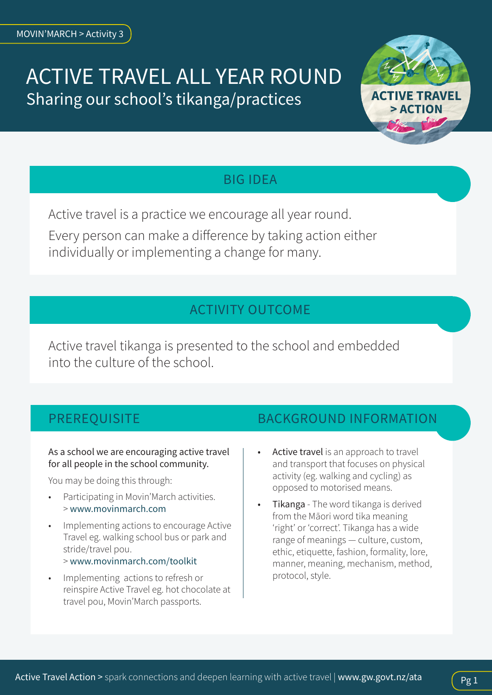# ACTIVE TRAVEL ALL YEAR ROUND Sharing our school's tikanga/practices



## BIG IDEA

Active travel is a practice we encourage all year round.

Every person can make a difference by taking action either individually or implementing a change for many.

## ACTIVITY OUTCOME

Active travel tikanga is presented to the school and embedded into the culture of the school.

## PREREQUISITE

#### As a school we are encouraging active travel for all people in the school community.

You may be doing this through:

- Participating in Movin'March activities. > [www.movinmarch.com](http://www.movinmarch.com)
- Implementing actions to encourage Active Travel eg. walking school bus or park and stride/travel pou. > [www.movinmarch.com/toolkit](http:// www.movinmarch.com/toolkit)
- Implementing actions to refresh or reinspire Active Travel eg. hot chocolate at travel pou, Movin'March passports.

### BACKGROUND INFORMATION

- Active travel is an approach to travel and transport that focuses on physical activity (eg. walking and cycling) as opposed to motorised means.
- Tikanga The word tikanga is derived from the Māori word tika meaning 'right' or 'correct'. Tikanga has a wide range of meanings — culture, custom, ethic, etiquette, fashion, formality, lore, manner, meaning, mechanism, method, protocol, style.